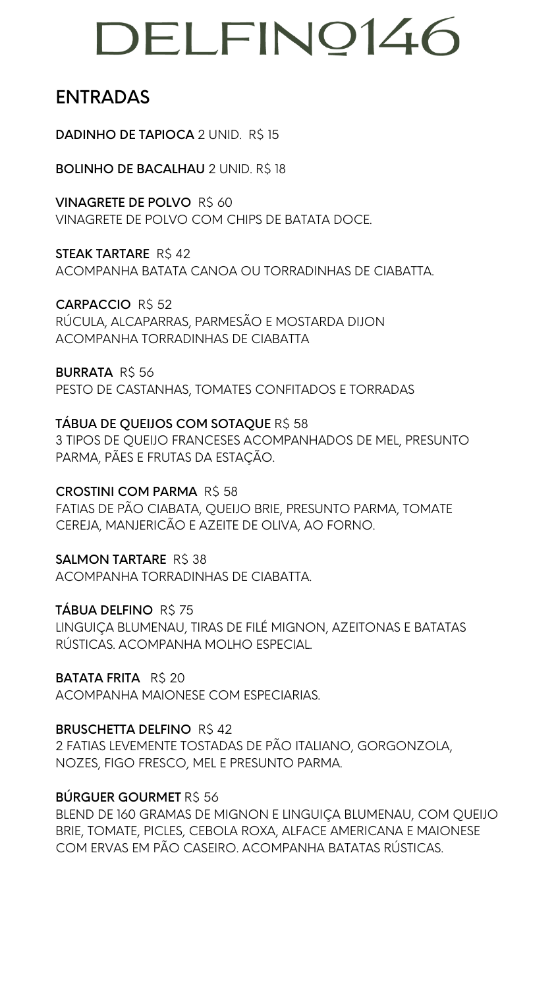#### ENTRADAS

DADINHO DE TAPIOCA 2 UNID. R\$ 15

BOLINHO DE BACALHAU 2 UNID. R\$ 18

STEAK TARTARE R\$42 ACOMPANHA BATATA CANOA OU TORRADINHAS DE CIABATTA.

VINAGRETE DE POLVO R\$ 60 VINAGRETE DE POLVO COM CHIPS DE BATATA DOCE.

**BURRATA R\$ 56** PESTO DE CASTANHAS, TOMATES CONFITADOS E TORRADAS

CARPACCIO R\$ 52 RÚCULA, ALCAPARRAS, PARMESÃO E MOSTARDA DIJON ACOMPANHA TORRADINHAS DE CIABATTA

SALMON TARTARE R\$ 38 ACOMPANHA TORRADINHAS DE CIABATTA.

TÁBUA DELFINO R\$ 75

BATATA FRITA R\$ 20 ACOMPANHA MAIONESE COM ESPECIARIAS.

TÁBUA DE QUEIJOS COM SOTAQUE R\$ 58 3 TIPOS DE QUEIJO FRANCESES ACOMPANHADOS DE MEL, PRESUNTO PARMA, PÃES E FRUTAS DA ESTAÇÃO.

BRUSCHETTA DELFINO R\$42 2 FATIAS LEVEMENTE TOSTADAS DE PÃO ITALIANO, GORGONZOLA, NOZES, FIGO FRESCO, MEL E PRESUNTO PARMA.

BÚRGUER GOURMET R\$ 56

CROSTINI COM PARMA R\$ 58 FATIAS DE PÃO CIABATA, QUEIJO BRIE, PRESUNTO PARMA, TOMATE CEREJA, MANJERICÃO E AZEITE DE OLIVA, AO FORNO.

LINGUIÇA BLUMENAU, TIRAS DE FILÉ MIGNON, AZEITONAS E BATATAS RÚSTICAS. ACOMPANHA MOLHO ESPECIAL.

BLEND DE 160 GRAMAS DE MIGNON E LINGUIÇA BLUMENAU, COM QUEIJO BRIE, TOMATE, PICLES, CEBOLA ROXA, ALFACE AMERICANA E MAIONESE COM ERVAS EM PÃO CASEIRO. ACOMPANHA BATATAS RÚSTICAS.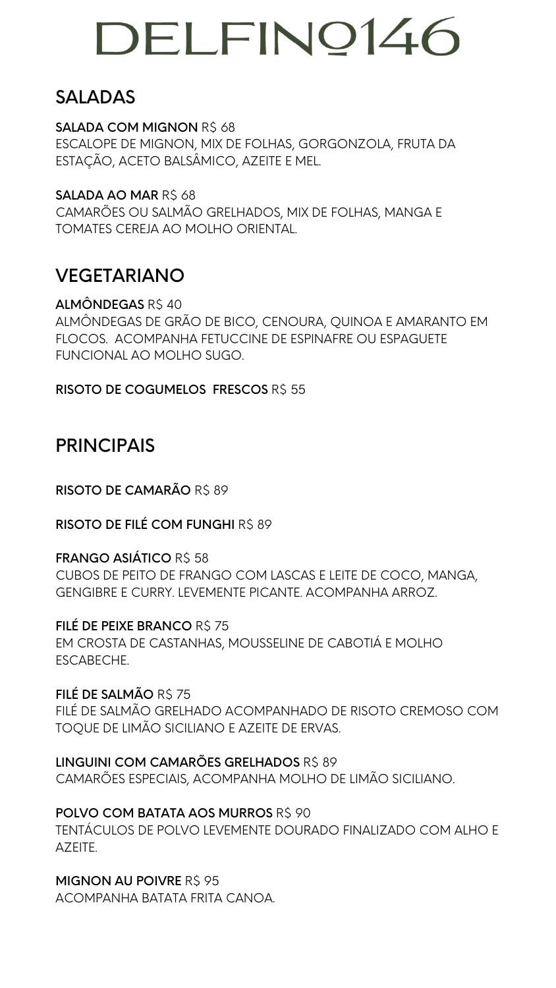#### SALADAS

SALADA COM MIGNON R\$ 68 ESCALOPE DE MIGNON, MIX DE FOLHAS, GORGONZOLA, FRUTA DA ESTAÇÃO, ACETO BALSÂMICO, AZEITE E MEL.

SALADA AO MAR R\$ 68 CAMARÕES OU SALMÃO GRELHADOS, MIX DE FOLHAS, MANGA E TOMATES CEREJA AO MOLHO ORIENTAL.

#### VEGETARIANO

ALMÔNDEGAS R\$ 40 ALMÔNDEGAS DE GRÃO DE BICO, CENOURA, QUINOA E AMARANTO EM FLOCOS. ACOMPANHA FETUCCINE DE ESPINAFRE OU ESPAGUETE FUNCIONAL AO MOLHO SUGO.

RISOTO DE COGUMELOS FRESCOS R\$ 55

FILÉ DE PEIXE BRANCO R\$ 75 EM CROSTA DE CASTANHAS, MOUSSELINE DE CABOTIÁ E MOLHO ESCABECHE.

FILÉ DE SALMÃO R\$ 75 FILÉ DE SALMÃO GRELHADO ACOMPANHADO DE RISOTO CREMOSO COM

#### PRINCIPAIS

RISOTO DE CAMARÃO R\$ 89

RISOTO DE FILÉ COM FUNGHI R\$ 89

FRANGO ASIÁTICO R\$ 58

MIGNON AU POIVRE R\$ 95 ACOMPANHA BATATA FRITA CANOA.

CUBOS DE PEITO DE FRANGO COM LASCAS E LEITE DE COCO, MANGA, GENGIBRE E CURRY. LEVEMENTE PICANTE. ACOMPANHA ARROZ.

TOQUE DE LIMÃO SICILIANO E AZEITE DE ERVAS.

LINGUINI COM CAMARÕES GRELHADOS R\$ 89 CAMARÕES ESPECIAIS, ACOMPANHA MOLHO DE LIMÃO SICILIANO.

POLVO COM BATATA AOS MURROS R\$ 90 TENTÁCULOS DE POLVO LEVEMENTE DOURADO FINALIZADO COM ALHO E AZEITE.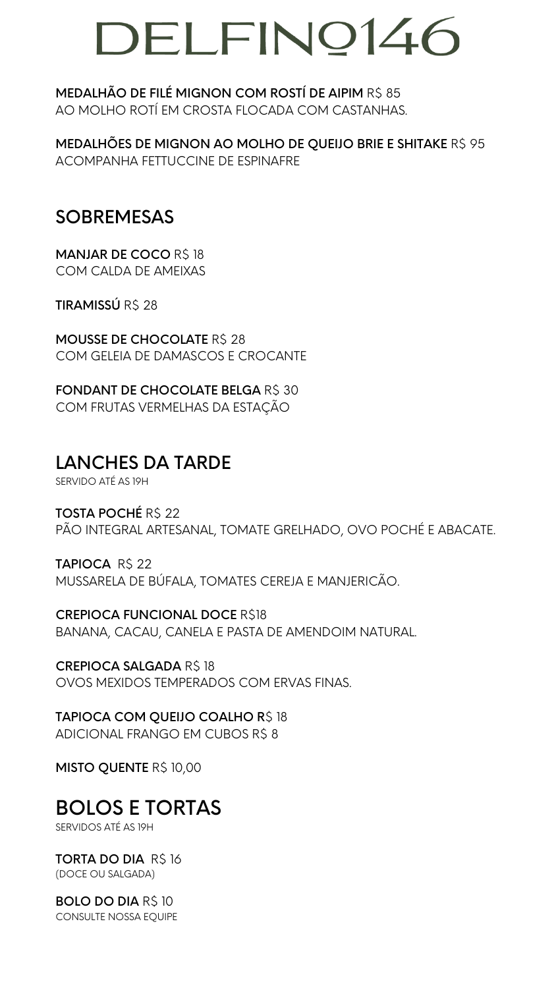MEDALHÃO DE FILÉ MIGNON COM ROSTÍ DE AIPIM R\$ 85 AO MOLHO ROTÍ EM CROSTA FLOCADA COM CASTANHAS.

**MANJAR DE COCO R\$ 18** COM CALDA DE AMEIXAS

TIRAMISSÚ R\$ 28

MEDALHÕES DE MIGNON AO MOLHO DE QUEIJO BRIE E SHITAKE R\$ 95 ACOMPANHA FETTUCCINE DE ESPINAFRE

FONDANT DE CHOCOLATE BELGA R\$ 30 COM FRUTAS VERMELHAS DA ESTAÇÃO

#### SOBREMESAS

TAPIOCA R\$ 22 MUSSARELA DE BÚFALA, TOMATES CEREJA E MANJERICÃO.

MOUSSE DE CHOCOLATE R\$ 28 COM GELEIA DE DAMASCOS E CROCANTE

CREPIOCA SALGADA R\$18 OVOS MEXIDOS TEMPERADOS COM ERVAS FINAS.

TAPIOCA COM QUEIJO COALHO R\$ 18 ADICIONAL FRANGO EM CUBOS R\$ 8

MISTO QUENTE R\$ 10,00

#### LANCHES DA TARDE

SERVIDO ATÉ AS 19H

TORTA DO DIA R\$ 16 (DOCE OU SALGADA)

TOSTA POCHÉ R\$ 22 PÃO INTEGRAL ARTESANAL, TOMATE GRELHADO, OVO POCHÉ E ABACATE.

CREPIOCA FUNCIONAL DOCE R\$18

BANANA, CACAU, CANELA E PASTA DE AMENDOIM NATURAL.

### BOLOS E TORTAS

SERVIDOS ATÉ AS 19H

BOLO DO DIA R\$ 10 CONSULTE NOSSA EQUIPE